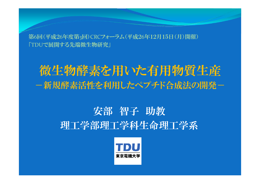第 6回(平成2 6年度第 <sup>3</sup>回)CRCフォーラム(平成2 6年12月15日(月)開催) 「TDUで展開する先端微生物研究」

# 微生物酵素を用いた有用物質生産 一新規酵素活性を利用したペプチド合成法の開発ー

# 安部 智子 助教 理工学部理工学科生命理工学系

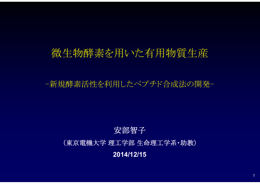# 微生物酵素を用いた有用物質生産

-新規酵素活性を利用したペプチド合成法の開発-

# 安部智子 (東京電機大学 理工学部 生命理工学系・助教) **2014/12/15**

1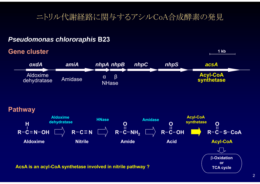## ニトリル代謝経路に関与するアシルCoA合成酵素の発見

#### **Gene cluster 1 kb** *oxdA nhpA nhpC amiA nhpB nhpS acsA* Aldoxime Amidase **Acyl-CoA synthetase** Aldoxime<br>dehydratase Amidase α β<br>NHase **Pathway Aldoxime Acyl-CoA HNase Amidase dehydratase synthetase HOOO** $\overrightarrow{R-C} = \overrightarrow{N}$   $\overrightarrow{R-C}-\overrightarrow{NH}$ **R C OH NR C OH** R-C-S-CoA **Acyl-CoA AldoximeNitrile Amide Acid**イイド β**-Oxidation or AcsA is an acyl-CoA synthetase involved in nitrile pathway ? We are the contract of the cycle**

*Pseudomonas chlororaphis* **B23**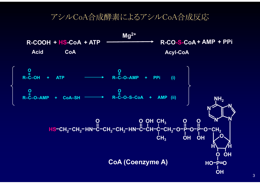### アシルCoA合成酵素によるアシルCoA合成反応

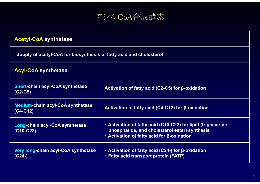

| <b>Acetyl-CoA synthetase</b>                                        |                                                                                                                                                                           |  |  |
|---------------------------------------------------------------------|---------------------------------------------------------------------------------------------------------------------------------------------------------------------------|--|--|
| Supply of acetyl-CoA for biosynthesis of fatty acid and cholesterol |                                                                                                                                                                           |  |  |
| <b>Acyl-CoA synthetase</b>                                          |                                                                                                                                                                           |  |  |
| <b>Short-chain acyl-CoA synthetase</b><br>$(C2-C5)$                 | Activation of fatty acid (C2-C5) for β-oxidation                                                                                                                          |  |  |
| <b>Medium-chain acyl-CoA synthetase</b><br>(C4-C12)                 | Activation of fatty acid (C4-C12) for $\beta$ -oxidation                                                                                                                  |  |  |
| Long-chain acyl-CoA synthetase<br>(C10-C22)                         | - Activation of fatty acid (C10-C22) for lipid (triglyceride,<br>phosphatide, and cholesterol ester) synthesis<br>$\cdot$ Activation of fatty acid for $\beta$ -oxidation |  |  |
| Very long-chain acyl-CoA synthetase<br>(C24-)                       | • Activation of fatty acid (C24-) for β-oxidation<br>· Fatty acid transport protein (FATP)                                                                                |  |  |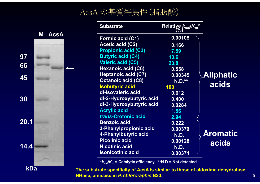# AcsA の基質特異性(脂肪酸)

**97**

**30**

**20.1**

**kDa**

|      |                  | <b>Substrate</b>           | Relative $k_{\text{cat}}/K_{\text{m}}^*$ |                  |
|------|------------------|----------------------------|------------------------------------------|------------------|
|      | <b>AcsA</b><br>M | <b>Formic acid (C1)</b>    | 0.00105                                  |                  |
|      |                  | <b>Acetic acid (C2)</b>    | 0.166                                    |                  |
|      |                  | <b>Propionic acid (C3)</b> | 7.59                                     |                  |
| 97   |                  | <b>Butyric acid (C4)</b>   | 13.6                                     |                  |
|      |                  | <b>Valeric acid (C5)</b>   | 23.8                                     |                  |
| 66   |                  | <b>Hexanoic acid (C6)</b>  | 0.558                                    |                  |
|      |                  | <b>Heptanoic acid (C7)</b> | 0.00345                                  | <b>Aliphatic</b> |
| 45   |                  | <b>Octanoic acid (C8)</b>  | <b>N.D.**</b>                            |                  |
|      |                  | <b>Isobutyric acid</b>     | 100                                      | acids            |
|      |                  | dl-Isovaleric acid         | 0.612                                    |                  |
| 30   |                  | dl-2-Hydroxybutyric acid   | 0.400                                    |                  |
|      |                  | dl-3-Hydroxybutyric acid   | 0.0284                                   |                  |
|      |                  | <b>Acrylic acid</b>        | 1.56                                     |                  |
|      |                  | trans-Crotonic acid        | 2.94                                     |                  |
| 20.1 |                  | <b>Benzoic acid</b>        | 0.222                                    |                  |
|      |                  | 3-Phenylpropionic acid     | 0.00379                                  |                  |
|      |                  | 4-Phenylbutyric acid       | <b>N.D.</b>                              | <b>Aromatic</b>  |
|      |                  | <b>Picolinic acid</b>      | 0.00128                                  | acids            |
| 14.4 |                  | <b>Nicotinic acid</b>      | <b>N.D.</b>                              |                  |
|      |                  | <b>Isonicotinic acid</b>   | 0.00371                                  |                  |

**\****k***cat/***K***m = Catalytic efficiency \*\*N.D = Not detected**

**The substrate specificity of AcsA is similar to those of aldoxime dehydratase, NHase, amidase in** *P. chlororaphis* **B23.** 

5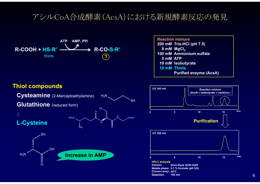## アシルCoA合成酵素(AcsA)における新規酵素反応の発見



**Reaction mixture200 mM Tris-HCl (pH 7.5)** 8 mM MgCl<sub>2</sub> **100 mM Ammonium sulfate5 mM ATP10 mM Isobutyrate 10 mM ThiolsPurified enzyme (AcsA)**





**HPLC analysis Column Shim-Pack SCR-102H** Mobile phase 0.1 % formate (pH 3.0) Column temp. 40°C **Detection** 193 nm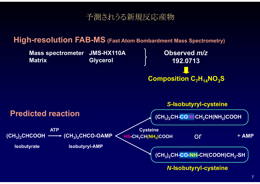## 予測されうる新規反応産物

### **High-resolution FAB-MS (Fast Atom Bombardment Mass Spectrometry)**

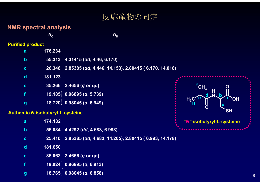### 反応産物の同定

### **NMR spectral analysis**

|                                          | $\delta_{c}$ | $\delta_{\rm H}$                                     |   |
|------------------------------------------|--------------|------------------------------------------------------|---|
| <b>Purified product</b>                  |              |                                                      |   |
| a                                        | 176.234      |                                                      |   |
| $\mathbf b$                              | 55.313       | 4.31415 (dd, 4.46, 6.170)                            |   |
| $\mathbf c$                              | 26.348       | 2.85385 (dd, 4.446, 14.153), 2.80415 (6.170, 14.018) |   |
| $\mathbf d$                              | 181.123      | <b>OLIVER</b>                                        |   |
| $\mathbf e$                              |              | 35.266 2.4656 (q or qq)                              |   |
| f                                        | 19.185       | $0.96895$ (d, $5.739$ )                              |   |
| $\boldsymbol{g}$                         |              | $(18.720)$ 0.98045 (d, 6.949)                        |   |
| <b>Authentic N-isobutyryl-L-cysteine</b> |              |                                                      |   |
| $\overline{a}$                           | 174.182      |                                                      | " |
| $\mathbf b$                              | 55.034       | 4.4292 (dd, 4.683, 6.993)                            |   |
| $\mathbf c$                              | 25.410       | 2.85385 (dd, 4.683, 14.205), 2.80415 (6.993, 14.178) |   |
| $\mathbf d$                              | 181.650      |                                                      |   |
| $\mathbf e$                              | 35.062       | $2.4656$ (q or qq)                                   |   |
|                                          | 19.024       | 0.96895(d, 6.913)                                    |   |

**g 18.765 0.98045 (***d***, 6.858)**

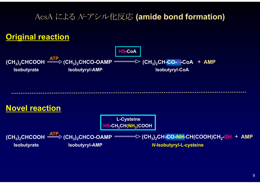## AcsA による N-アシル化反応 **(amide bond formation)**

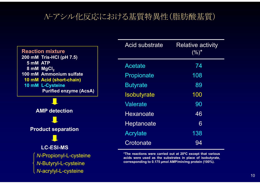# N-アシル化反応における基質特異性(脂肪酸基質)

#### **Reaction mixture200 mM Tris-HCl (pH 7.5) 5 mM ATP8 mM MgCl 2 100 mM Ammonium sulfate10 mM Acid (short-chain) 10 mM L-Cysteine Purified enzyme (AcsA)**

**AMP detectionProduct separation LC-ESI-MS***N*-Propionyl-L-cysteine *N*-Butyryl-L-cysteine *N*-acrylyl-L-cysteine

| <b>Acid substrate</b> | <b>Relative activity</b><br>$( \% )^*$ |
|-----------------------|----------------------------------------|
| <b>Acetate</b>        | 74                                     |
| Propionate            | 108                                    |
| <b>Butyrate</b>       | 89                                     |
| Isobutyrate           | 100                                    |
| Valerate              | 90                                     |
| Hexanoate             | 46                                     |
| Heptanoate            | 6                                      |
| <b>Acrylate</b>       | 138                                    |
| Crotonate             | 94                                     |

**\*The reactions were carried out at 20ºC except that various acids were used as the substrates in place of isobutyrate, corresponding to 0.175 µmol AMP/min/mg protein (100%).**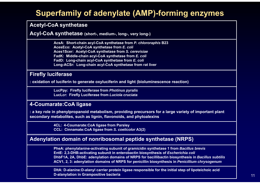# **Superfamily of adenylate (AMP)-forming enzymes**

### **Acetyl-CoA synthetase**

**Acyl-CoA synthetase (short-, medium-, long-, very long-)**

**AcsA: Short-chain acyl-CoA synthetase from** *P. chlororaphis* **B23 AcesEco: Acetyl-CoA synthetase from** *E. coli* **Aces1Scer: Acetyl-CoA synthetase from** *S. cerevisiae* **FadK: Middle-chain acyl-CoA synthetase from** *E. coli* **FadD: Long-chain acyl-CoA synthetase from** *E. coli* **Long-ACSr: Long-chain acyl-CoA synthetase from rat liver**

### **Firefly luciferase**

**: oxidation of luciferin to generate oxyluciferin and light (bioluminescence reaction)** 

**LucPpy: Firefly luciferase from** *Photinus pyralis* **LucLcr: Firefly Luciferase from** *Luciola cruciata*

### **4-Coumarate:CoA ligase**

**: a key role in phenylpropanoid metabolism, providing precursors for a large variety of important plant secondary metabolites, such as lignin, flavonoids, and phytoalexins**

> **4CL: 4-Coumarate:CoA ligase from Parsley CCL: Cinnamate:CoA ligase from** *S. coelicolor* **A3(2)**

### **Adenylation domain of nonribosomal peptide synthetase (NRPS)**

**PheA: phenylalanine-activating subunit of gramicidin synthetase 1 from** *Bacillus brevis* **EntE: 2,3-DHB-activating subunit in enterobactin biosynthesis of** *Escherichia coli* **DhbF1A, 2A, DhbE: adenylation domains of NRPS for bacillibactin biosynthesis in** *Bacillus subtilis* **ACV1, 2, 3: adenylation domains of NRPS for penicillin biosynthesis in** *Penicillium chrysogenum*

**DltA: D-alanine:D-alanyl carrier protein ligase responsible for the initial step of lipoteichoic acid D-alanylation in Grampositive bacteria**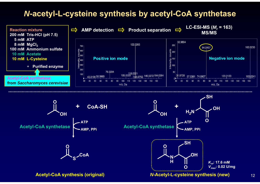### *N***-acetyl-L-cysteine synthesis by acetyl-CoA synthetase**